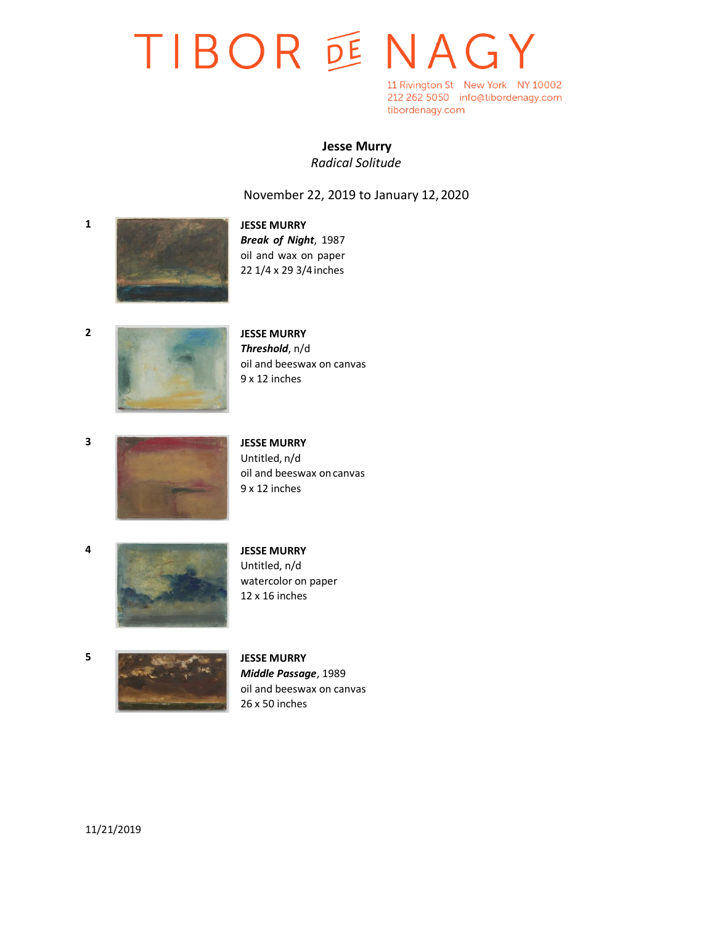# TIBOR DE NAGY

11 Rivington St New York NY 10002 212 262 5050 info@tibordenagy.com tibordenagy.com

## **Jesse Murry**

*Radical Solitude*

### November 22, 2019 to January 12,2020



*Break of Night*, 1987 oil and wax on paper 22 1/4 x 29 3/4 inches



*Threshold*, n/d oil and beeswax on canvas 9 x 12 inches



Untitled, n/d oil and beeswax oncanvas 9 x 12 inches



Untitled, n/d watercolor on paper 12 x 16 inches



*Middle Passage*, 1989 oil and beeswax on canvas 26 x 50 inches

11/21/2019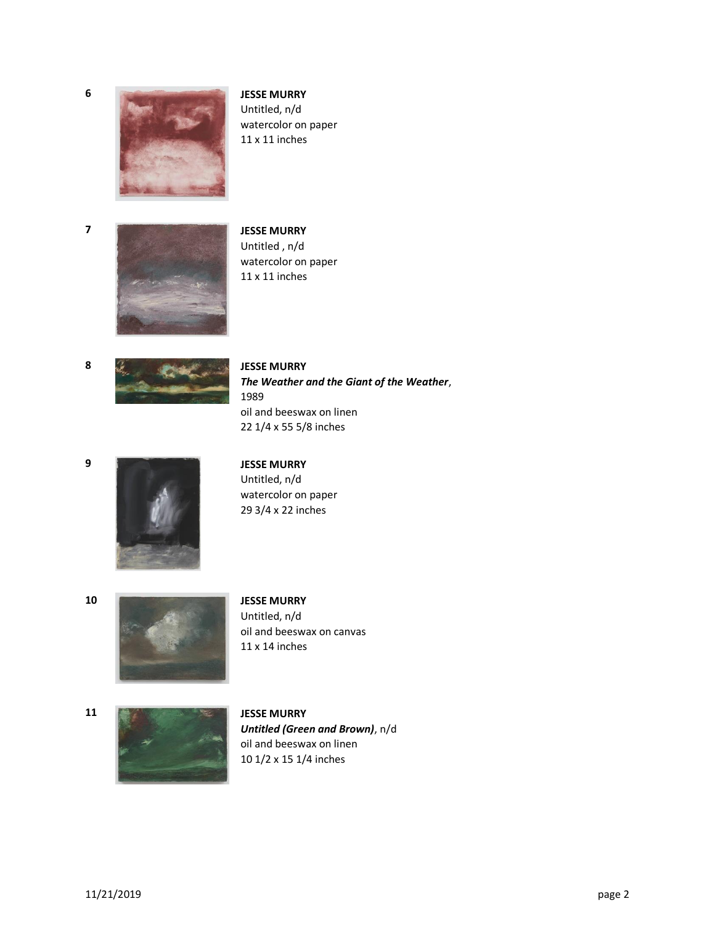

Untitled, n/d watercolor on paper 11 x 11 inches



Untitled , n/d watercolor on paper 11 x 11 inches



*The Weather and the Giant of the Weather*, 1989 oil and beeswax on linen 22 1/4 x 55 5/8 inches



Untitled, n/d watercolor on paper 29 3/4 x 22 inches



Untitled, n/d oil and beeswax on canvas 11 x 14 inches



*Untitled (Green and Brown)*, n/d oil and beeswax on linen 10 1/2 x 15 1/4 inches